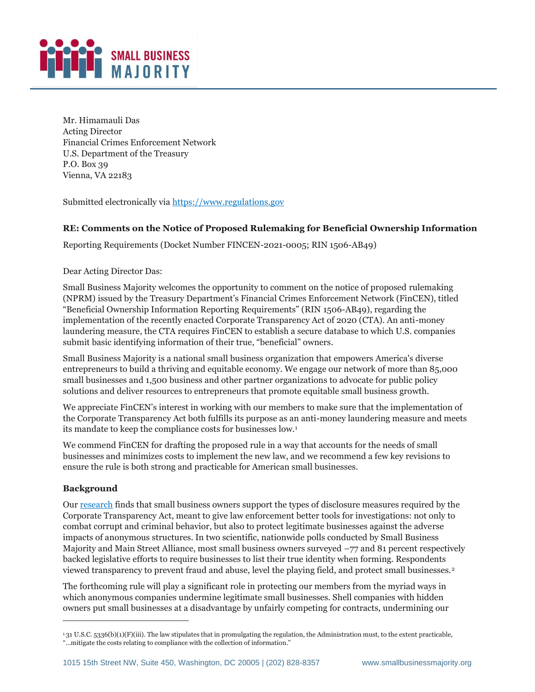

Mr. Himamauli Das Acting Director Financial Crimes Enforcement Network U.S. Department of the Treasury P.O. Box 39 Vienna, VA 22183

Submitted electronically via [https://www.regulations.gov](https://www.regulations.gov/)

## **RE: Comments on the Notice of Proposed Rulemaking for Beneficial Ownership Information**

Reporting Requirements (Docket Number FINCEN-2021-0005; RIN 1506-AB49)

Dear Acting Director Das:

Small Business Majority welcomes the opportunity to comment on the notice of proposed rulemaking (NPRM) issued by the Treasury Department's Financial Crimes Enforcement Network (FinCEN), titled "Beneficial Ownership Information Reporting Requirements" (RIN 1506-AB49), regarding the implementation of the recently enacted Corporate Transparency Act of 2020 (CTA). An anti-money laundering measure, the CTA requires FinCEN to establish a secure database to which U.S. companies submit basic identifying information of their true, "beneficial" owners.

Small Business Majority is a national small business organization that empowers America's diverse entrepreneurs to build a thriving and equitable economy. We engage our network of more than 85,000 small businesses and 1,500 business and other partner organizations to advocate for public policy solutions and deliver resources to entrepreneurs that promote equitable small business growth.

We appreciate FinCEN's interest in working with our members to make sure that the implementation of the Corporate Transparency Act both fulfills its purpose as an anti-money laundering measure and meets its mandate to keep the compliance costs for businesses low.<sup>1</sup>

We commend FinCEN for drafting the proposed rule in a way that accounts for the needs of small businesses and minimizes costs to implement the new law, and we recommend a few key revisions to ensure the rule is both strong and practicable for American small businesses.

### **Background**

Ou[r research](https://smallbusinessmajority.org/our-research/government-accountability/small-business-owners-support-legislation-requiring-transparency-business-formation) finds that small business owners support the types of disclosure measures required by the Corporate Transparency Act, meant to give law enforcement better tools for investigations: not only to combat corrupt and criminal behavior, but also to protect legitimate businesses against the adverse impacts of anonymous structures. In two scientific, nationwide polls conducted by Small Business Majority and Main Street Alliance, most small business owners surveyed  $-77$  and 81 percent respectively backed legislative efforts to require businesses to list their true identity when forming. Respondents viewed transparency to prevent fraud and abuse, level the playing field, and protect small businesses.<sup>2</sup>

The forthcoming rule will play a significant role in protecting our members from the myriad ways in which anonymous companies undermine legitimate small businesses. Shell companies with hidden owners put small businesses at a disadvantage by unfairly competing for contracts, undermining our

 $131$  U.S.C. 5336(b)(1)(F)(iii). The law stipulates that in promulgating the regulation, the Administration must, to the extent practicable, "...mitigate the costs relating to compliance with the collection of information."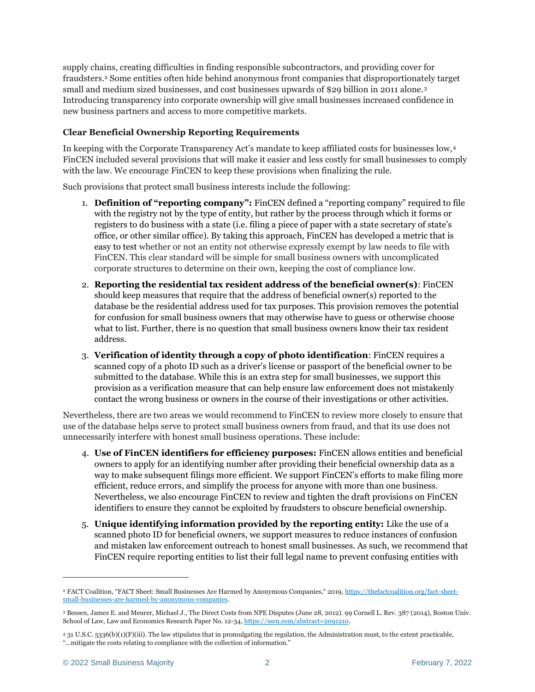supply chains, creating difficulties in finding responsible subcontractors, and providing cover for fraudsters.<sup>2</sup> Some entities often hide behind anonymous front companies that disproportionately target small and medium sized businesses, and cost businesses upwards of \$29 billion in 2011 alone.<sup>3</sup> Introducing transparency into corporate ownership will give small businesses increased confidence in new business partners and access to more competitive markets.

## **Clear Beneficial Ownership Reporting Requirements**

In keeping with the Corporate Transparency Act's mandate to keep affiliated costs for businesses low,<sup>4</sup> FinCEN included several provisions that will make it easier and less costly for small businesses to comply with the law. We encourage FinCEN to keep these provisions when finalizing the rule.

Such provisions that protect small business interests include the following:

- 1. **Definition of "reporting company":** FinCEN defined a "reporting company" required to file with the registry not by the type of entity, but rather by the process through which it forms or registers to do business with a state (i.e. filing a piece of paper with a state secretary of state's office, or other similar office). By taking this approach, FinCEN has developed a metric that is easy to test whether or not an entity not otherwise expressly exempt by law needs to file with FinCEN. This clear standard will be simple for small business owners with uncomplicated corporate structures to determine on their own, keeping the cost of compliance low.
- 2. **Reporting the residential tax resident address of the beneficial owner(s)**: FinCEN should keep measures that require that the address of beneficial owner(s) reported to the database be the residential address used for tax purposes. This provision removes the potential for confusion for small business owners that may otherwise have to guess or otherwise choose what to list. Further, there is no question that small business owners know their tax resident address.
- 3. **Verification of identity through a copy of photo identification**: FinCEN requires a scanned copy of a photo ID such as a driver's license or passport of the beneficial owner to be submitted to the database. While this is an extra step for small businesses, we support this provision as a verification measure that can help ensure law enforcement does not mistakenly contact the wrong business or owners in the course of their investigations or other activities.

Nevertheless, there are two areas we would recommend to FinCEN to review more closely to ensure that use of the database helps serve to protect small business owners from fraud, and that its use does not unnecessarily interfere with honest small business operations. These include:

- 4. **Use of FinCEN identifiers for efficiency purposes:** FinCEN allows entities and beneficial owners to apply for an identifying number after providing their beneficial ownership data as a way to make subsequent filings more efficient. We support FinCEN's efforts to make filing more efficient, reduce errors, and simplify the process for anyone with more than one business. Nevertheless, we also encourage FinCEN to review and tighten the draft provisions on FinCEN identifiers to ensure they cannot be exploited by fraudsters to obscure beneficial ownership.
- 5. **Unique identifying information provided by the reporting entity:** Like the use of a scanned photo ID for beneficial owners, we support measures to reduce instances of confusion and mistaken law enforcement outreach to honest small businesses. As such, we recommend that FinCEN require reporting entities to list their full legal name to prevent confusing entities with

<sup>&</sup>lt;sup>2</sup> FACT Coalition, "FACT Sheet: Small Businesses Are Harmed by Anonymous Companies," 2019, [https://thefactcoalition.org/fact-sheet](https://thefactcoalition.org/fact-sheet-small-businesses-are-harmed-by-anonymous-companies/)[small-businesses-are-harmed-by-anonymous-companies.](https://thefactcoalition.org/fact-sheet-small-businesses-are-harmed-by-anonymous-companies/)

<sup>3</sup> Bessen, James E. and Meurer, Michael J., The Direct Costs from NPE Disputes (June 28, 2012). 99 Cornell L. Rev. 387 (2014), Boston Univ. School of Law, Law and Economics Research Paper No. 12-34, [https://ssrn.com/abstract=2091210.](https://ssrn.com/abstract=2091210)

<sup>4</sup> 31 U.S.C. 5336(b)(1)(F)(iii). The law stipulates that in promulgating the regulation, the Administration must, to the extent practicable, "...mitigate the costs relating to compliance with the collection of information."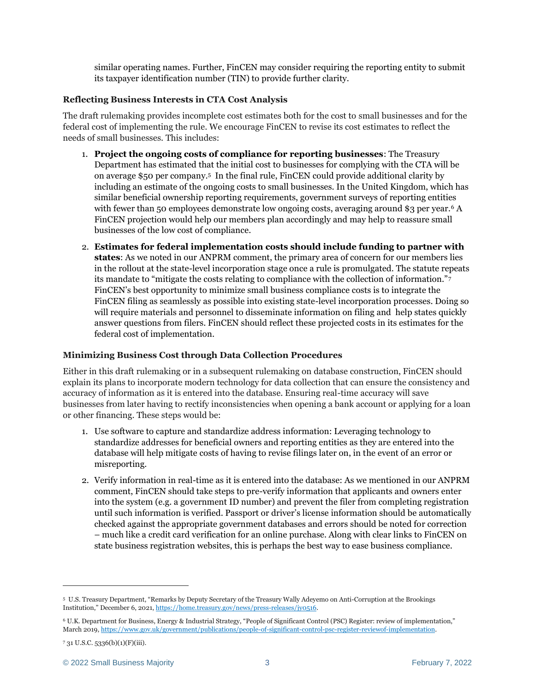similar operating names. Further, FinCEN may consider requiring the reporting entity to submit its taxpayer identification number (TIN) to provide further clarity.

# **Reflecting Business Interests in CTA Cost Analysis**

The draft rulemaking provides incomplete cost estimates both for the cost to small businesses and for the federal cost of implementing the rule. We encourage FinCEN to revise its cost estimates to reflect the needs of small businesses. This includes:

- 1. **Project the ongoing costs of compliance for reporting businesses**: The Treasury Department has estimated that the initial cost to businesses for complying with the CTA will be on average \$50 per company.5 In the final rule, FinCEN could provide additional clarity by including an estimate of the ongoing costs to small businesses. In the United Kingdom, which has similar beneficial ownership reporting requirements, government surveys of reporting entities with fewer than 50 employees demonstrate low ongoing costs, averaging around \$3 per year.<sup>6</sup> A FinCEN projection would help our members plan accordingly and may help to reassure small businesses of the low cost of compliance.
- 2. **Estimates for federal implementation costs should include funding to partner with states**: As we noted in our ANPRM comment, the primary area of concern for our members lies in the rollout at the state-level incorporation stage once a rule is promulgated. The statute repeats its mandate to "mitigate the costs relating to compliance with the collection of information."<sup>7</sup> FinCEN's best opportunity to minimize small business compliance costs is to integrate the FinCEN filing as seamlessly as possible into existing state-level incorporation processes. Doing so will require materials and personnel to disseminate information on filing and help states quickly answer questions from filers. FinCEN should reflect these projected costs in its estimates for the federal cost of implementation.

### **Minimizing Business Cost through Data Collection Procedures**

Either in this draft rulemaking or in a subsequent rulemaking on database construction, FinCEN should explain its plans to incorporate modern technology for data collection that can ensure the consistency and accuracy of information as it is entered into the database. Ensuring real-time accuracy will save businesses from later having to rectify inconsistencies when opening a bank account or applying for a loan or other financing. These steps would be:

- 1. Use software to capture and standardize address information: Leveraging technology to standardize addresses for beneficial owners and reporting entities as they are entered into the database will help mitigate costs of having to revise filings later on, in the event of an error or misreporting.
- 2. Verify information in real-time as it is entered into the database: As we mentioned in our ANPRM comment, FinCEN should take steps to pre-verify information that applicants and owners enter into the system (e.g. a government ID number) and prevent the filer from completing registration until such information is verified. Passport or driver's license information should be automatically checked against the appropriate government databases and errors should be noted for correction – much like a credit card verification for an online purchase. Along with clear links to FinCEN on state business registration websites, this is perhaps the best way to ease business compliance.

<sup>5</sup> U.S. Treasury Department, "Remarks by Deputy Secretary of the Treasury Wally Adeyemo on Anti-Corruption at the Brookings Institution," December 6, 2021, [https://home.treasury.gov/news/press-releases/jy0516.](https://home.treasury.gov/news/press-releases/jy0516)

<sup>6</sup> U.K. Department for Business, Energy & Industrial Strategy, "People of Significant Control (PSC) Register: review of implementation," March 2019[, https://www.gov.uk/government/publications/people-of-significant-control-psc-register-reviewof-implementation.](https://www.gov.uk/government/publications/people-of-significant-control-psc-register-reviewof-implementation)

<sup>7</sup> 31 U.S.C. 5336(b)(1)(F)(iii).